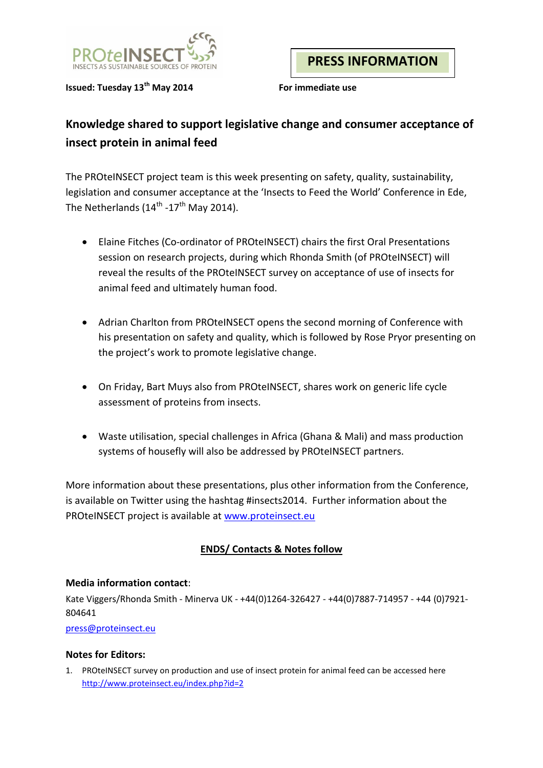

**Issued: Tuesday 13th May 2014 For immediate use**

**PRESS INFORMATION**

# **Knowledge shared to support legislative change and consumer acceptance of insect protein in animal feed**

The PROteINSECT project team is this week presenting on safety, quality, sustainability, legislation and consumer acceptance at the 'Insects to Feed the World' Conference in Ede, The Netherlands  $(14^{\text{th}} -17^{\text{th}})$  May 2014).

- Elaine Fitches (Co-ordinator of PROteINSECT) chairs the first Oral Presentations session on research projects, during which Rhonda Smith (of PROteINSECT) will reveal the results of the PROteINSECT survey on acceptance of use of insects for animal feed and ultimately human food.
- Adrian Charlton from PROteINSECT opens the second morning of Conference with his presentation on safety and quality, which is followed by Rose Pryor presenting on the project's work to promote legislative change.
- On Friday, Bart Muys also from PROteINSECT, shares work on generic life cycle assessment of proteins from insects.
- Waste utilisation, special challenges in Africa (Ghana & Mali) and mass production systems of housefly will also be addressed by PROteINSECT partners.

More information about these presentations, plus other information from the Conference, is available on Twitter using the hashtag #insects2014. Further information about the PROteINSECT project is available at [www.proteinsect.eu](http://www.proteinsect.eu/)

## **ENDS/ Contacts & Notes follow**

### **Media information contact**:

Kate Viggers/Rhonda Smith - Minerva UK - +44(0)1264-326427 - +44(0)7887-714957 - +44 (0)7921- 804641

#### [press@proteinsect.eu](mailto:press@proteinsect.eu)

#### **Notes for Editors:**

1. PROteINSECT survey on production and use of insect protein for animal feed can be accessed here <http://www.proteinsect.eu/index.php?id=2>